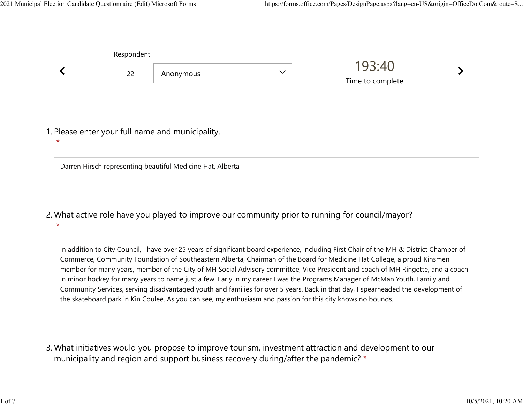Respondent

Darren Hirsch representing beautiful Medicine Hat, Alberta

|                                                             | Respondent |           |              | 193:40<br>Time to complete |  |
|-------------------------------------------------------------|------------|-----------|--------------|----------------------------|--|
|                                                             | 22         | Anonymous | $\checkmark$ |                            |  |
|                                                             |            |           |              |                            |  |
| 1. Please enter your full name and municipality.<br>$\star$ |            |           |              |                            |  |

What active role have you played to improve our community prior to running for council/mayor? 2. \*

In addition to City Council, I have over 25 years of significant board experience, including First Chair of the MH & District Chamber of Commerce, Community Foundation of Southeastern Alberta, Chairman of the Board for Medicine Hat College, a proud Kinsmen member for many years, member of the City of MH Social Advisory committee, Vice President and coach of MH Ringette, and a coach in minor hockey for many years to name just a few. Early in my career I was the Programs Manager of McMan Youth, Family and Community Services, serving disadvantaged youth and families for over 5 years. Back in that day, I spearheaded the development of the skateboard park in Kin Coulee. As you can see, my enthusiasm and passion for this city knows no bounds.

What initiatives would you propose to improve tourism, investment attraction and development to our 3. municipality and region and support business recovery during/after the pandemic? \*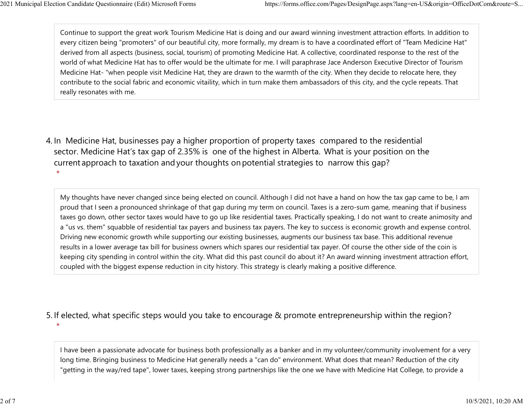\*

Continue to support the great work Tourism Medicine Hat is doing and our award winning investment attraction efforts. In addition to every citizen being "promoters" of our beautiful city, more formally, my dream is to have a coordinated effort of "Team Medicine Hat" derived from all aspects (business, social, tourism) of promoting Medicine Hat. A collective, coordinated response to the rest of the world of what Medicine Hat has to offer would be the ultimate for me. I will paraphrase Jace Anderson Executive Director of Tourism Medicine Hat- "when people visit Medicine Hat, they are drawn to the warmth of the city. When they decide to relocate here, they contribute to the social fabric and economic vitaility, which in turn make them ambassadors of this city, and the cycle repeats. That really resonates with me. 2021 Municipal Election Candidate Questionnaire (Edit) Microsoft Forms https://forms.office.com/Pages/DesignPage.aspx?lang=en-US&origin=OfficeDotCom&route=S...<br>Continue to support the great work Tourism Medicine Hat is doi

4. In Medicine Hat, businesses pay a higher proportion of property taxes compared to the residential sector.  Medicine Hat's tax gap of 2.35% is one of the highest in Alberta.  What is your position on the current approach to taxation and your thoughts on potential strategies to narrow this gap? \*

My thoughts have never changed since being elected on council. Although I did not have a hand on how the tax gap came to be, I am proud that I seen a pronounced shrinkage of that gap during my term on council. Taxes is a zero-sum game, meaning that if business taxes go down, other sector taxes would have to go up like residential taxes. Practically speaking, I do not want to create animosity and a "us vs. them" squabble of residential tax payers and business tax payers. The key to success is economic growth and expense control. Driving new economic growth while supporting our existing businesses, augments our business tax base. This additional revenue results in a lower average tax bill for business owners which spares our residential tax payer. Of course the other side of the coin is keeping city spending in control within the city. What did this past council do about it? An award winning investment attraction effort, coupled with the biggest expense reduction in city history. This strategy is clearly making a positive difference.

## 5. If elected, what specific steps would you take to encourage & promote entrepreneurship within the region?

I have been a passionate advocate for business both professionally as a banker and in my volunteer/community involvement for a very long time. Bringing business to Medicine Hat generally needs a "can do" environment. What does that mean? Reduction of the city "getting in the way/red tape", lower taxes, keeping strong partnerships like the one we have with Medicine Hat College, to provide a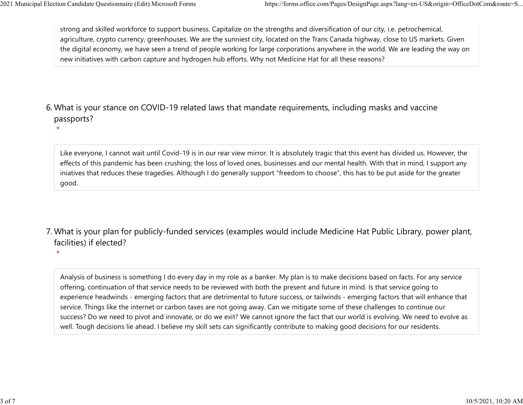\*

strong and skilled workforce to support business. Capitalize on the strengths and diversification of our city, i.e. petrochemical, agriculture, crypto currency, greenhouses. We are the sunniest city, located on the Trans Canada highway, close to US markets. Given the digital economy, we have seen a trend of people working for large corporations anywhere in the world. We are leading the way on new initiatives with carbon capture and hydrogen hub efforts. Why not Medicine Hat for all these reasons? 2021 Municipal Election Candidate Questionnaire (Edit) Microsoft Forms https://forms.office.com/Pages/DesignPage.aspx?lang=en-US&origin=OfficeDotCom&route=S...<br>
strong and skilled workforce to support business. Capitalize

What is your stance on COVID-19 related laws that mandate requirements, including masks and vaccine 6. passports?

Like everyone, I cannot wait until Covid-19 is in our rear view mirror. It is absolutely tragic that this event has divided us. However, the effects of this pandemic has been crushing; the loss of loved ones, businesses and our mental health. With that in mind, I support any iniatives that reduces these tragedies. Although I do generally support "freedom to choose", this has to be put aside for the greater good.

What is your plan for publicly-funded services (examples would include Medicine Hat Public Library, power plant, 7. facilities) if elected?

\*

Analysis of business is something I do every day in my role as a banker. My plan is to make decisions based on facts. For any service offering, continuation of that service needs to be reviewed with both the present and future in mind. Is that service going to experience headwinds - emerging factors that are detrimental to future success, or tailwinds - emerging factors that will enhance that service. Things like the internet or carbon taxes are not going away. Can we mitigate some of these challenges to continue our success? Do we need to pivot and innovate, or do we exit? We cannot ignore the fact that our world is evolving. We need to evolve as well. Tough decisions lie ahead. I believe my skill sets can significantly contribute to making good decisions for our residents.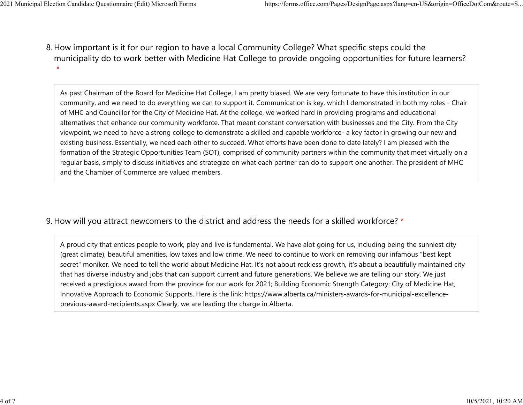8. How important is it for our region to have a local Community College? What specific steps could the municipality do to work better with Medicine Hat College to provide ongoing opportunities for future learners? \* 2021 Municipal Election Candidate Questionnaire (Edit) Microsoft Forms https://forms.office.com/Pages/DesignPage.aspx?lang=en-US&origin=OfficeDotCom&route=S...<br>8 How important is it for our region to baye a local Community

> As past Chairman of the Board for Medicine Hat College, I am pretty biased. We are very fortunate to have this institution in our community, and we need to do everything we can to support it. Communication is key, which I demonstrated in both my roles - Chair of MHC and Councillor for the City of Medicine Hat. At the college, we worked hard in providing programs and educational alternatives that enhance our community workforce. That meant constant conversation with businesses and the City. From the City viewpoint, we need to have a strong college to demonstrate a skilled and capable workforce- a key factor in growing our new and existing business. Essentially, we need each other to succeed. What efforts have been done to date lately? I am pleased with the formation of the Strategic Opportunities Team (SOT), comprised of community partners within the community that meet virtually on a regular basis, simply to discuss initiatives and strategize on what each partner can do to support one another. The president of MHC and the Chamber of Commerce are valued members.

## 9. How will you attract newcomers to the district and address the needs for a skilled workforce? \*

A proud city that entices people to work, play and live is fundamental. We have alot going for us, including being the sunniest city (great climate), beautiful amenities, low taxes and low crime. We need to continue to work on removing our infamous "best kept secret" moniker. We need to tell the world about Medicine Hat. It's not about reckless growth, it's about a beautifully maintained city that has diverse industry and jobs that can support current and future generations. We believe we are telling our story. We just received a prestigious award from the province for our work for 2021; Building Economic Strength Category: City of Medicine Hat, Innovative Approach to Economic Supports. Here is the link: https://www.alberta.ca/ministers-awards-for-municipal-excellenceprevious-award-recipients.aspx Clearly, we are leading the charge in Alberta.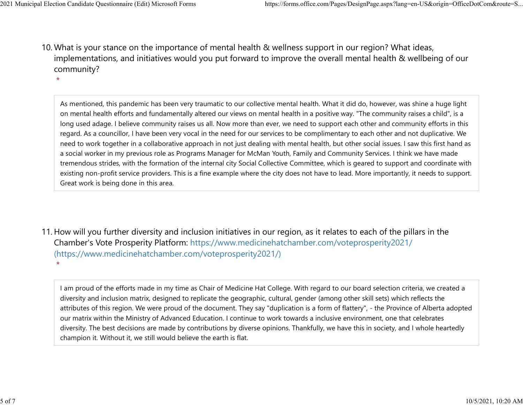\*

10. What is your stance on the importance of mental health & wellness support in our region? What ideas, implementations, and initiatives would you put forward to improve the overall mental health & wellbeing of our community? 2021 Municipal Election Candidate Questionnaire (Edit) Microsoft Forms https://forms.office.com/Pages/DesignPage.aspx?lang=en-US&origin=OfficeDotCom&route=S...<br>10 What is vour stance on the importance of mental bealth & we

As mentioned, this pandemic has been very traumatic to our collective mental health. What it did do, however, was shine a huge light on mental health efforts and fundamentally altered our views on mental health in a positive way. "The community raises a child", is a long used adage. I believe community raises us all. Now more than ever, we need to support each other and community efforts in this regard. As a councillor, I have been very vocal in the need for our services to be complimentary to each other and not duplicative. We need to work together in a collaborative approach in not just dealing with mental health, but other social issues. I saw this first hand as a social worker in my previous role as Programs Manager for McMan Youth, Family and Community Services. I think we have made tremendous strides, with the formation of the internal city Social Collective Committee, which is geared to support and coordinate with existing non-profit service providers. This is a fine example where the city does not have to lead. More importantly, it needs to support. Great work is being done in this area.

11. How will you further diversity and inclusion initiatives in our region, as it relates to each of the pillars in the Chamber's Vote Prosperity Platform: https://www.medicinehatchamber.com/voteprosperity2021/ (https://www.medicinehatchamber.com/voteprosperity2021/) \*

I am proud of the efforts made in my time as Chair of Medicine Hat College. With regard to our board selection criteria, we created a diversity and inclusion matrix, designed to replicate the geographic, cultural, gender (among other skill sets) which reflects the attributes of this region. We were proud of the document. They say "duplication is a form of flattery", - the Province of Alberta adopted our matrix within the Ministry of Advanced Education. I continue to work towards a inclusive environment, one that celebrates diversity. The best decisions are made by contributions by diverse opinions. Thankfully, we have this in society, and I whole heartedly champion it. Without it, we still would believe the earth is flat.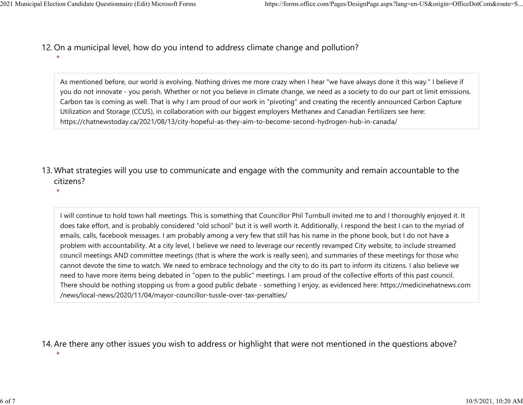- 12. On a municipal level, how do you intend to address climate change and pollution? 2021 Municipal Election Candidate Questionnaire (Edit) Microsoft Forms https://forms.office.com/Pages/DesignPage.aspx?lang=en-US&origin=OfficeDotCom&route=S...<br>12 On a municipal level how do you intend to address climate c
	- \*

As mentioned before, our world is evolving. Nothing drives me more crazy when I hear "we have always done it this way." I believe if you do not innovate - you perish. Whether or not you believe in climate change, we need as a society to do our part ot limit emissions. Carbon tax is coming as well. That is why I am proud of our work in "pivoting" and creating the recently announced Carbon Capture Utilization and Storage (CCUS), in collaboration with our biggest employers Methanex and Canadian Fertilizers see here: https://chatnewstoday.ca/2021/08/13/city-hopeful-as-they-aim-to-become-second-hydrogen-hub-in-canada/

13. What strategies will you use to communicate and engage with the community and remain accountable to the citizens?

\*

I will continue to hold town hall meetings. This is something that Councillor Phil Turnbull invited me to and I thoroughly enjoyed it. It does take effort, and is probably considered "old school" but it is well worth it. Additionally, I respond the best I can to the myriad of emails, calls, facebook messages. I am probably among a very few that still has his name in the phone book, but I do not have a problem with accountability. At a city level, I believe we need to leverage our recently revamped City website, to include streamed council meetings AND committee meetings (that is where the work is really seen), and summaries of these meetings for those who cannot devote the time to watch. We need to embrace technology and the city to do its part to inform its citizens. I also believe we need to have more items being debated in "open to the public" meetings. I am proud of the collective efforts of this past council. There should be nothing stopping us from a good public debate - something I enjoy, as evidenced here: https://medicinehatnews.com /news/local-news/2020/11/04/mayor-councillor-tussle-over-tax-penalties/

14. Are there any other issues you wish to address or highlight that were not mentioned in the questions above?

\*